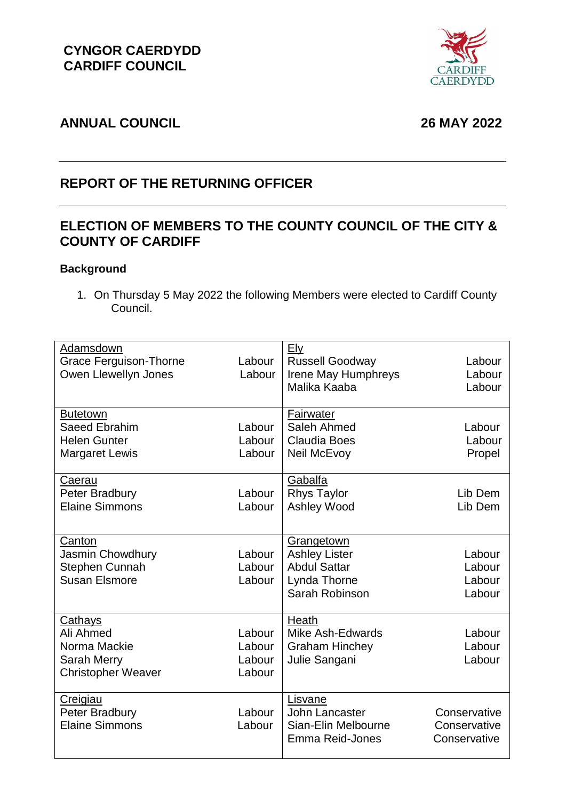

# **ANNUAL COUNCIL 26 MAY 2022**

# **REPORT OF THE RETURNING OFFICER**

# **ELECTION OF MEMBERS TO THE COUNTY COUNCIL OF THE CITY & COUNTY OF CARDIFF**

## **Background**

1. On Thursday 5 May 2022 the following Members were elected to Cardiff County Council.

| Adamsdown                     |        | <b>Ely</b>             |              |
|-------------------------------|--------|------------------------|--------------|
| <b>Grace Ferguison-Thorne</b> | Labour | <b>Russell Goodway</b> | Labour       |
| Owen Llewellyn Jones          | Labour | Irene May Humphreys    | Labour       |
|                               |        | Malika Kaaba           | Labour       |
|                               |        |                        |              |
| <b>Butetown</b>               |        | Fairwater              |              |
| <b>Saeed Ebrahim</b>          | Labour | Saleh Ahmed            | Labour       |
| <b>Helen Gunter</b>           | Labour | <b>Claudia Boes</b>    | Labour       |
| <b>Margaret Lewis</b>         | Labour | <b>Neil McEvoy</b>     | Propel       |
| Caerau                        |        | Gabalfa                |              |
| Peter Bradbury                | Labour | <b>Rhys Taylor</b>     | Lib Dem      |
| <b>Elaine Simmons</b>         | Labour | Ashley Wood            | Lib Dem      |
|                               |        |                        |              |
| Canton                        |        | Grangetown             |              |
| Jasmin Chowdhury              | Labour | <b>Ashley Lister</b>   | Labour       |
| <b>Stephen Cunnah</b>         | Labour | <b>Abdul Sattar</b>    | Labour       |
| <b>Susan Elsmore</b>          | Labour | Lynda Thorne           | Labour       |
|                               |        | Sarah Robinson         | Labour       |
|                               |        |                        |              |
| Cathays                       |        | Heath                  |              |
| Ali Ahmed                     | Labour | Mike Ash-Edwards       | Labour       |
| Norma Mackie                  | Labour | <b>Graham Hinchey</b>  | Labour       |
| Sarah Merry                   | Labour | Julie Sangani          | Labour       |
| <b>Christopher Weaver</b>     | Labour |                        |              |
|                               |        |                        |              |
| Creigiau                      |        | Lisvane                |              |
| Peter Bradbury                | Labour | John Lancaster         | Conservative |
| <b>Elaine Simmons</b>         | Labour | Sian-Elin Melbourne    | Conservative |
|                               |        | Emma Reid-Jones        | Conservative |
|                               |        |                        |              |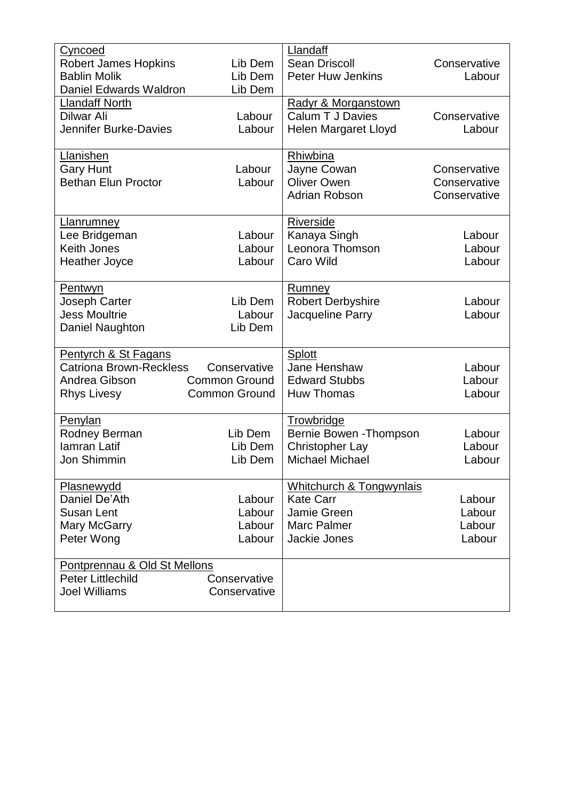| Cyncoed                        |                      | Llandaff                 |              |
|--------------------------------|----------------------|--------------------------|--------------|
| <b>Robert James Hopkins</b>    | Lib Dem              | <b>Sean Driscoll</b>     | Conservative |
| <b>Bablin Molik</b>            | Lib Dem              | <b>Peter Huw Jenkins</b> | Labour       |
| <b>Daniel Edwards Waldron</b>  | Lib Dem              |                          |              |
| <b>Llandaff North</b>          |                      | Radyr & Morganstown      |              |
| Dilwar Ali                     | Labour               | <b>Calum T J Davies</b>  | Conservative |
| <b>Jennifer Burke-Davies</b>   | Labour               | Helen Margaret Lloyd     | Labour       |
|                                |                      |                          |              |
| Llanishen                      |                      | Rhiwbina                 |              |
| <b>Gary Hunt</b>               | Labour               | Jayne Cowan              | Conservative |
| <b>Bethan Elun Proctor</b>     | Labour               | <b>Oliver Owen</b>       | Conservative |
|                                |                      | <b>Adrian Robson</b>     | Conservative |
|                                |                      |                          |              |
| Llanrumney                     |                      | <b>Riverside</b>         |              |
| Lee Bridgeman                  | Labour               | Kanaya Singh             | Labour       |
| <b>Keith Jones</b>             | Labour               | Leonora Thomson          | Labour       |
| <b>Heather Joyce</b>           | Labour               | Caro Wild                | Labour       |
|                                |                      |                          |              |
| <b>Pentwyn</b>                 |                      | Rumney                   |              |
| Joseph Carter                  | Lib Dem              | <b>Robert Derbyshire</b> | Labour       |
| <b>Jess Moultrie</b>           | Labour               | Jacqueline Parry         | Labour       |
| Daniel Naughton                | Lib Dem              |                          |              |
|                                |                      |                          |              |
| Pentyrch & St Fagans           |                      | Splott                   |              |
| <b>Catriona Brown-Reckless</b> | Conservative         | Jane Henshaw             | Labour       |
| Andrea Gibson                  | <b>Common Ground</b> | <b>Edward Stubbs</b>     | Labour       |
| <b>Rhys Livesy</b>             | <b>Common Ground</b> | <b>Huw Thomas</b>        | Labour       |
|                                |                      |                          |              |
| Penylan                        |                      | Trowbridge               |              |
| Rodney Berman                  | Lib Dem              | Bernie Bowen - Thompson  | Labour       |
| <b>lamran Latif</b>            | Lib Dem              | <b>Christopher Lay</b>   | Labour       |
| Jon Shimmin                    | Lib Dem              | <b>Michael Michael</b>   | Labour       |
|                                |                      |                          |              |
| Plasnewydd                     |                      | Whitchurch & Tongwynlais |              |
| Daniel De'Ath                  | Labour               | <b>Kate Carr</b>         | Labour       |
| <b>Susan Lent</b>              | Labour               | Jamie Green              | Labour       |
| <b>Mary McGarry</b>            | Labour               | Marc Palmer              | Labour       |
| Peter Wong                     | Labour               | Jackie Jones             | Labour       |
|                                |                      |                          |              |
| Pontprennau & Old St Mellons   |                      |                          |              |
| <b>Peter Littlechild</b>       | Conservative         |                          |              |
| <b>Joel Williams</b>           | Conservative         |                          |              |
|                                |                      |                          |              |